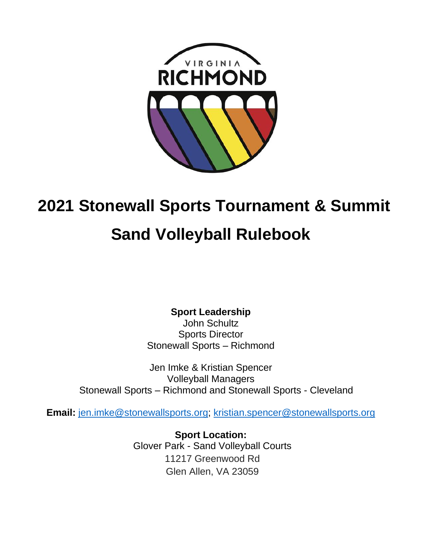

# **2021 Stonewall Sports Tournament & Summit**

# **Sand Volleyball Rulebook**

**Sport Leadership**

John Schultz Sports Director Stonewall Sports – Richmond

Jen Imke & Kristian Spencer Volleyball Managers Stonewall Sports – Richmond and Stonewall Sports - Cleveland

**Email:** [jen.imke@stonewallsports.org;](mailto:jen.imke@stonewallsports.org) [kristian.spencer@stonewallsports.org](mailto:kristian.spencer@stonewallsports.org)

**Sport Location:**  Glover Park - Sand Volleyball Courts 11217 Greenwood Rd Glen Allen, VA 23059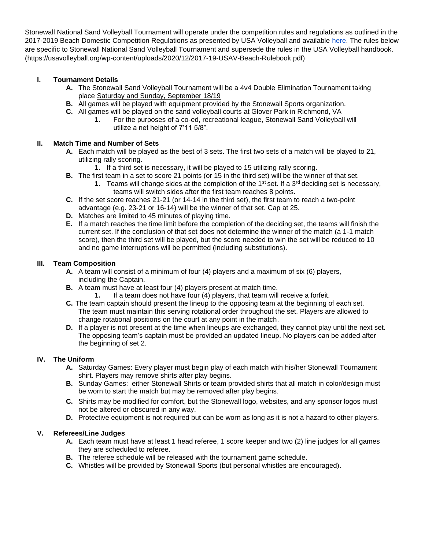Stonewall National Sand Volleyball Tournament will operate under the competition rules and regulations as outlined in the 2017-2019 Beach Domestic Competition Regulations as presented by USA Volleyball and available [here.](https://usavolleyball.org/wp-content/uploads/2020/12/2017-19-USAV-Beach-Rulebook.pdf) The rules below are specific to Stonewall National Sand Volleyball Tournament and supersede the rules in the USA Volleyball handbook. (https://usavolleyball.org/wp-content/uploads/2020/12/2017-19-USAV-Beach-Rulebook.pdf)

# **I. Tournament Details**

- **A.** The Stonewall Sand Volleyball Tournament will be a 4v4 Double Elimination Tournament taking place Saturday and Sunday, September 18/19
- **B.** All games will be played with equipment provided by the Stonewall Sports organization.
- **C.** All games will be played on the sand volleyball courts at Glover Park in Richmond, VA
	- **1.** For the purposes of a co-ed, recreational league, Stonewall Sand Volleyball will utilize a net height of 7'11 5/8".

# **II. Match Time and Number of Sets**

- **A.** Each match will be played as the best of 3 sets. The first two sets of a match will be played to 21, utilizing rally scoring.
	- **1.** If a third set is necessary, it will be played to 15 utilizing rally scoring.
- **B.** The first team in a set to score 21 points (or 15 in the third set) will be the winner of that set.
	- **1.** Teams will change sides at the completion of the 1<sup>st</sup> set. If a 3<sup>rd</sup> deciding set is necessary, teams will switch sides after the first team reaches 8 points.
- **C.** If the set score reaches 21-21 (or 14-14 in the third set), the first team to reach a two-point advantage (e.g. 23-21 or 16-14) will be the winner of that set. Cap at 25.
- **D.** Matches are limited to 45 minutes of playing time.
- **E.** If a match reaches the time limit before the completion of the deciding set, the teams will finish the current set. If the conclusion of that set does not determine the winner of the match (a 1-1 match score), then the third set will be played, but the score needed to win the set will be reduced to 10 and no game interruptions will be permitted (including substitutions).

### **III. Team Composition**

- **A.** A team will consist of a minimum of four (4) players and a maximum of six (6) players, including the Captain.
- **B.** A team must have at least four (4) players present at match time.
	- **1.** If a team does not have four (4) players, that team will receive a forfeit.
- **C.** The team captain should present the lineup to the opposing team at the beginning of each set. The team must maintain this serving rotational order throughout the set. Players are allowed to change rotational positions on the court at any point in the match.
- **D.** If a player is not present at the time when lineups are exchanged, they cannot play until the next set. The opposing team's captain must be provided an updated lineup. No players can be added after the beginning of set 2.

# **IV. The Uniform**

- **A.** Saturday Games: Every player must begin play of each match with his/her Stonewall Tournament shirt. Players may remove shirts after play begins.
- **B.** Sunday Games: either Stonewall Shirts or team provided shirts that all match in color/design must be worn to start the match but may be removed after play begins.
- **C.** Shirts may be modified for comfort, but the Stonewall logo, websites, and any sponsor logos must not be altered or obscured in any way.
- **D.** Protective equipment is not required but can be worn as long as it is not a hazard to other players.

# **V. Referees/Line Judges**

- **A.** Each team must have at least 1 head referee, 1 score keeper and two (2) line judges for all games they are scheduled to referee.
- **B.** The referee schedule will be released with the tournament game schedule.
- **C.** Whistles will be provided by Stonewall Sports (but personal whistles are encouraged).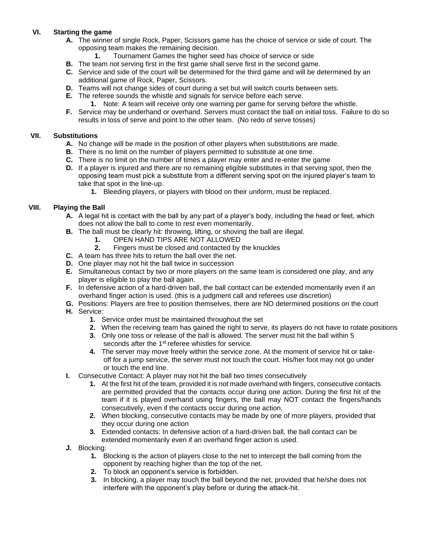# **VI. Starting the game**

- **A.** The winner of single Rock, Paper, Scissors game has the choice of service or side of court. The opposing team makes the remaining decision.
	- **1.** Tournament Games the higher seed has choice of service or side
- **B.** The team not serving first in the first game shall serve first in the second game.
- **C.** Service and side of the court will be determined for the third game and will be determined by an additional game of Rock, Paper, Scissors.
- **D.** Teams will not change sides of court during a set but will switch courts between sets.
- **E.** The referee sounds the whistle and signals for service before each serve.
	- **1.** Note: A team will receive only one warning per game for serving before the whistle.
- **F.** Service may be underhand or overhand. Servers must contact the ball on initial toss. Failure to do so results in loss of serve and point to the other team. (No redo of serve tosses)

### **VII. Substitutions**

- **A.** No change will be made in the position of other players when substitutions are made.
- **B.** There is no limit on the number of players permitted to substitute at one time.
- **C.** There is no limit on the number of times a player may enter and re-enter the game
- **D.** If a player is injured and there are no remaining eligible substitutes in that serving spot, then the opposing team must pick a substitute from a different serving spot on the injured player's team to take that spot in the line-up.
	- **1.** Bleeding players, or players with blood on their uniform, must be replaced.

# **VIII. Playing the Ball**

- **A.** A legal hit is contact with the ball by any part of a player's body, including the head or feet, which does not allow the ball to come to rest even momentarily.
- **B.** The ball must be clearly hit: throwing, lifting, or shoving the ball are illegal.
	- **1.** OPEN HAND TIPS ARE NOT ALLOWED
	- **2.** Fingers must be closed and contacted by the knuckles
- **C.** A team has three hits to return the ball over the net.
- **D.** One player may not hit the ball twice in succession
- **E.** Simultaneous contact by two or more players on the same team is considered one play, and any player is eligible to play the ball again.
- **F.** In defensive action of a hard-driven ball, the ball contact can be extended momentarily even if an overhand finger action is used. (this is a judgment call and referees use discretion)
- **G.** Positions: Players are free to position themselves, there are NO determined positions on the court **H.** Service:
	- **1.** Service order must be maintained throughout the set
	- **2.** When the receiving team has gained the right to serve, its players do not have to rotate positions
	- **3.** Only one toss or release of the ball is allowed. The server must hit the ball within 5 seconds after the 1<sup>st</sup> referee whistles for service.
	- **4.** The server may move freely within the service zone. At the moment of service hit or takeoff for a jump service, the server must not touch the court. His/her foot may not go under or touch the end line.
- **I.** Consecutive Contact: A player may not hit the ball two times consecutively
	- **1.** At the first hit of the team, provided it is not made overhand with fingers, consecutive contacts are permitted provided that the contacts occur during one action. During the first hit of the team if it is played overhand using fingers, the ball may NOT contact the fingers/hands consecutively, even if the contacts occur during one action.
	- **2.** When blocking, consecutive contacts may be made by one of more players, provided that they occur during one action
	- **3.** Extended contacts: In defensive action of a hard-driven ball, the ball contact can be extended momentarily even if an overhand finger action is used.
- **J.** Blocking:
	- **1.** Blocking is the action of players close to the net to intercept the ball coming from the opponent by reaching higher than the top of the net.
	- **2.** To block an opponent's service is forbidden.
	- **3.** In blocking, a player may touch the ball beyond the net, provided that he/she does not interfere with the opponent's play before or during the attack-hit.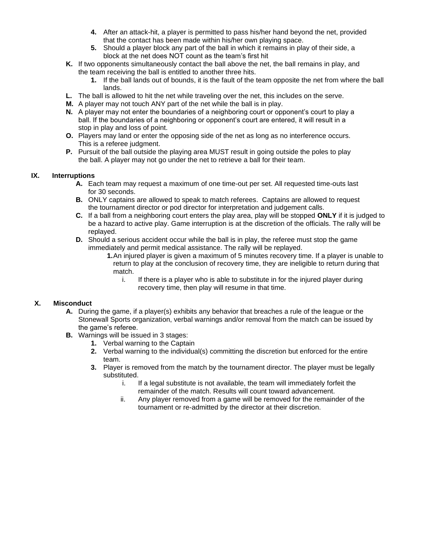- **4.** After an attack-hit, a player is permitted to pass his/her hand beyond the net, provided that the contact has been made within his/her own playing space.
- **5.** Should a player block any part of the ball in which it remains in play of their side, a block at the net does NOT count as the team's first hit
- **K.** If two opponents simultaneously contact the ball above the net, the ball remains in play, and the team receiving the ball is entitled to another three hits.
	- **1.** If the ball lands out of bounds, it is the fault of the team opposite the net from where the ball lands.
- **L.** The ball is allowed to hit the net while traveling over the net, this includes on the serve.
- **M.** A player may not touch ANY part of the net while the ball is in play.
- **N.** A player may not enter the boundaries of a neighboring court or opponent's court to play a ball. If the boundaries of a neighboring or opponent's court are entered, it will result in a stop in play and loss of point.
- **O.** Players may land or enter the opposing side of the net as long as no interference occurs. This is a referee judgment.
- **P.** Pursuit of the ball outside the playing area MUST result in going outside the poles to play the ball. A player may not go under the net to retrieve a ball for their team.

### **IX. Interruptions**

- **A.** Each team may request a maximum of one time-out per set. All requested time-outs last for 30 seconds.
- **B.** ONLY captains are allowed to speak to match referees. Captains are allowed to request the tournament director or pod director for interpretation and judgement calls.
- **C.** If a ball from a neighboring court enters the play area, play will be stopped **ONLY** if it is judged to be a hazard to active play. Game interruption is at the discretion of the officials. The rally will be replayed.
- **D.** Should a serious accident occur while the ball is in play, the referee must stop the game immediately and permit medical assistance. The rally will be replayed.
	- **1.**An injured player is given a maximum of 5 minutes recovery time. If a player is unable to return to play at the conclusion of recovery time, they are ineligible to return during that match.
		- i. If there is a player who is able to substitute in for the injured player during recovery time, then play will resume in that time.

# **X. Misconduct**

- **A.** During the game, if a player(s) exhibits any behavior that breaches a rule of the league or the Stonewall Sports organization, verbal warnings and/or removal from the match can be issued by the game's referee.
- **B.** Warnings will be issued in 3 stages:
	- **1.** Verbal warning to the Captain
	- **2.** Verbal warning to the individual(s) committing the discretion but enforced for the entire team.
	- **3.** Player is removed from the match by the tournament director. The player must be legally substituted.
		- i. If a legal substitute is not available, the team will immediately forfeit the remainder of the match. Results will count toward advancement.
		- ii. Any player removed from a game will be removed for the remainder of the tournament or re-admitted by the director at their discretion.